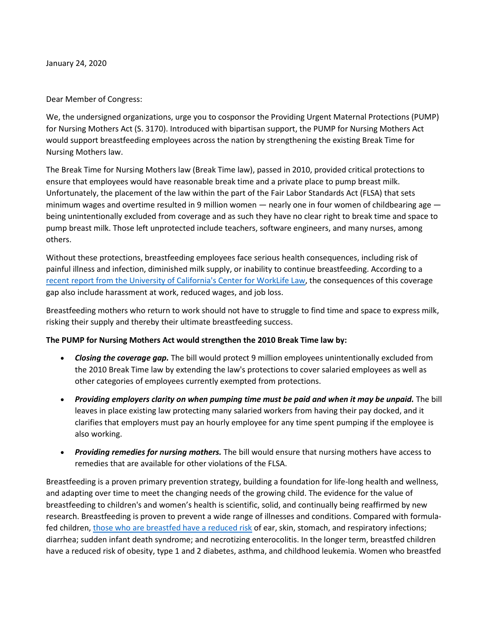January 24, 2020

Dear Member of Congress:

We, the undersigned organizations, urge you to cosponsor the Providing Urgent Maternal Protections (PUMP) for Nursing Mothers Act (S. 3170). Introduced with bipartisan support, the PUMP for Nursing Mothers Act would support breastfeeding employees across the nation by strengthening the existing Break Time for Nursing Mothers law.

The Break Time for Nursing Mothers law (Break Time law), passed in 2010, provided critical protections to ensure that employees would have reasonable break time and a private place to pump breast milk. Unfortunately, the placement of the law within the part of the Fair Labor Standards Act (FLSA) that sets minimum wages and overtime resulted in 9 million women — nearly one in four women of childbearing age being unintentionally excluded from coverage and as such they have no clear right to break time and space to pump breast milk. Those left unprotected include teachers, software engineers, and many nurses, among others.

Without these protections, breastfeeding employees face serious health consequences, including risk of painful illness and infection, diminished milk supply, or inability to continue breastfeeding. According to a [recent report from the University of California's Center for WorkLife Law,](https://www.pregnantatwork.org/wp-content/uploads/WLL-Breastfeeding-Discrimination-Report.pdf) the consequences of this coverage gap also include harassment at work, reduced wages, and job loss.

Breastfeeding mothers who return to work should not have to struggle to find time and space to express milk, risking their supply and thereby their ultimate breastfeeding success.

## **The PUMP for Nursing Mothers Act would strengthen the 2010 Break Time law by:**

- *Closing the coverage gap.* The bill would protect 9 million employees unintentionally excluded from the 2010 Break Time law by extending the law's protections to cover salaried employees as well as other categories of employees currently exempted from protections.
- *Providing employers clarity on when pumping time must be paid and when it may be unpaid.* The bill leaves in place existing law protecting many salaried workers from having their pay docked, and it clarifies that employers must pay an hourly employee for any time spent pumping if the employee is also working.
- *Providing remedies for nursing mothers.* The bill would ensure that nursing mothers have access to remedies that are available for other violations of the FLSA.

Breastfeeding is a proven primary prevention strategy, building a foundation for life-long health and wellness, and adapting over time to meet the changing needs of the growing child. The evidence for the value of breastfeeding to children's and women's health is scientific, solid, and continually being reaffirmed by new research. Breastfeeding is proven to prevent a wide range of illnesses and conditions. Compared with formulafed children, [those who are breastfed have a reduced risk](https://www.hhs.gov/surgeongeneral/reports-and-publications/breastfeeding/factsheet/index.html) of ear, skin, stomach, and respiratory infections; diarrhea; sudden infant death syndrome; and necrotizing enterocolitis. In the longer term, breastfed children have a reduced risk of obesity, type 1 and 2 diabetes, asthma, and childhood leukemia. Women who breastfed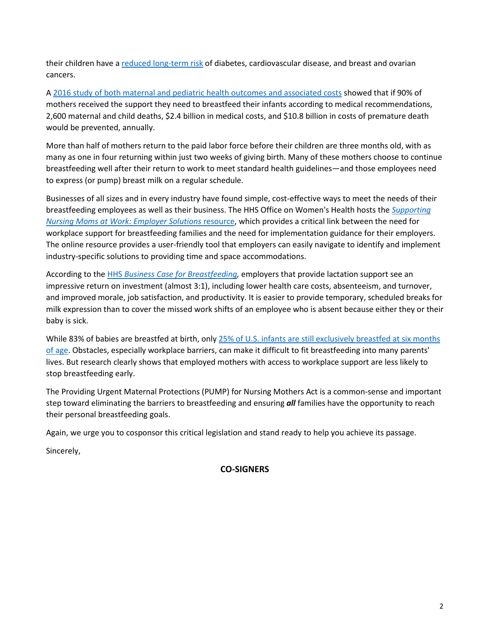their children have a [reduced long-term risk](https://effectivehealthcare.ahrq.gov/products/breastfeeding/research) of diabetes, cardiovascular disease, and breast and ovarian cancers.

A [2016 study of both maternal and pediatric health outcomes and associated costs](http://www.usbreastfeeding.org/p/cm/ld/fid=438) showed that if 90% of mothers received the support they need to breastfeed their infants according to medical recommendations, 2,600 maternal and child deaths, \$2.4 billion in medical costs, and \$10.8 billion in costs of premature death would be prevented, annually.

More than half of mothers return to the paid labor force before their children are three months old, with as many as one in four returning within just two weeks of giving birth. Many of these mothers choose to continue breastfeeding well after their return to work to meet standard health guidelines—and those employees need to express (or pump) breast milk on a regular schedule.

Businesses of all sizes and in every industry have found simple, cost-effective ways to meet the needs of their breastfeeding employees as well as their business. The HHS Office on Women's Health hosts the *[Supporting](https://www.womenshealth.gov/supporting-nursing-moms-work)  [Nursing Moms at Work: Employer Solutions](https://www.womenshealth.gov/supporting-nursing-moms-work)* resource, which provides a critical link between the need for workplace support for breastfeeding families and the need for implementation guidance for their employers. The online resource provides a user-friendly tool that employers can easily navigate to identify and implement industry-specific solutions to providing time and space accommodations.

According to the HHS *[Business Case for Breastfeeding,](https://www.womenshealth.gov/breastfeeding/breastfeeding-home-work-and-public/breastfeeding-and-going-back-work/business-case)* employers that provide lactation support see an impressive return on investment (almost 3:1), including lower health care costs, absenteeism, and turnover, and improved morale, job satisfaction, and productivity. It is easier to provide temporary, scheduled breaks for milk expression than to cover the missed work shifts of an employee who is absent because either they or their baby is sick.

While 83% of babies are breastfed at birth, only 25% of U.S. infants are still exclusively breastfed at six months [of age.](https://www.cdc.gov/breastfeeding/data/reportcard.htm) Obstacles, especially workplace barriers, can make it difficult to fit breastfeeding into many parents' lives. But research clearly shows that employed mothers with access to workplace support are less likely to stop breastfeeding early.

The Providing Urgent Maternal Protections (PUMP) for Nursing Mothers Act is a common-sense and important step toward eliminating the barriers to breastfeeding and ensuring *all* families have the opportunity to reach their personal breastfeeding goals.

Again, we urge you to cosponsor this critical legislation and stand ready to help you achieve its passage.

Sincerely,

**CO-SIGNERS**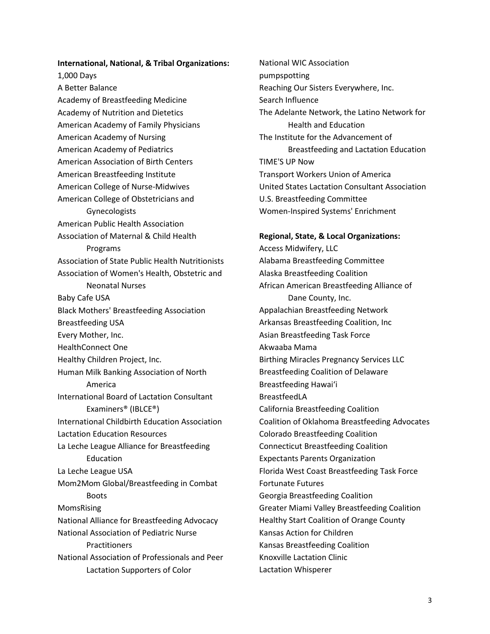**International, National, & Tribal Organizations:**  1,000 Days A Better Balance Academy of Breastfeeding Medicine Academy of Nutrition and Dietetics American Academy of Family Physicians American Academy of Nursing American Academy of Pediatrics American Association of Birth Centers American Breastfeeding Institute American College of Nurse-Midwives American College of Obstetricians and Gynecologists American Public Health Association Association of Maternal & Child Health Programs Association of State Public Health Nutritionists Association of Women's Health, Obstetric and Neonatal Nurses Baby Cafe USA Black Mothers' Breastfeeding Association Breastfeeding USA Every Mother, Inc. HealthConnect One Healthy Children Project, Inc. Human Milk Banking Association of North America International Board of Lactation Consultant Examiners® (IBLCE®) International Childbirth Education Association Lactation Education Resources La Leche League Alliance for Breastfeeding Education La Leche League USA Mom2Mom Global/Breastfeeding in Combat Boots MomsRising National Alliance for Breastfeeding Advocacy National Association of Pediatric Nurse **Practitioners** National Association of Professionals and Peer Lactation Supporters of Color

National WIC Association pumpspotting Reaching Our Sisters Everywhere, Inc. Search Influence The Adelante Network, the Latino Network for Health and Education The Institute for the Advancement of Breastfeeding and Lactation Education TIME'S UP Now Transport Workers Union of America United States Lactation Consultant Association U.S. Breastfeeding Committee Women-Inspired Systems' Enrichment

## **Regional, State, & Local Organizations:**

Access Midwifery, LLC Alabama Breastfeeding Committee Alaska Breastfeeding Coalition African American Breastfeeding Alliance of Dane County, Inc. Appalachian Breastfeeding Network Arkansas Breastfeeding Coalition, Inc Asian Breastfeeding Task Force Akwaaba Mama Birthing Miracles Pregnancy Services LLC Breastfeeding Coalition of Delaware Breastfeeding Hawaiʻi BreastfeedLA California Breastfeeding Coalition Coalition of Oklahoma Breastfeeding Advocates Colorado Breastfeeding Coalition Connecticut Breastfeeding Coalition Expectants Parents Organization Florida West Coast Breastfeeding Task Force Fortunate Futures Georgia Breastfeeding Coalition Greater Miami Valley Breastfeeding Coalition Healthy Start Coalition of Orange County Kansas Action for Children Kansas Breastfeeding Coalition Knoxville Lactation Clinic Lactation Whisperer